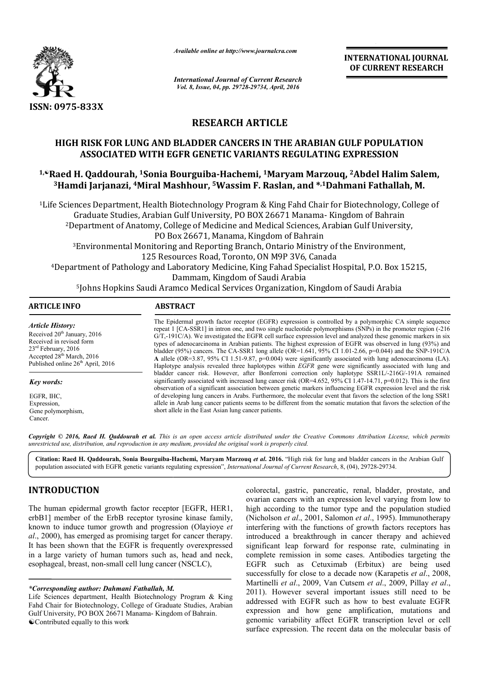

*Available online at http://www.journalcra.com*

**INTERNATIONAL JOURNAL OF CURRENT RESEARCH** 

*International Journal of Current Research Vol. 8, Issue, 04, pp. 29728-29734, April, 2016*

# **RESEARCH ARTICLE**

# **HIGH RISK FOR LUNG AND BLADDER CANCERS IN THE ARABIAN GULF POPULATION ASSOCIATED WITH EGFR GENETIC VARIANTS REGULATING EXPRESSION 1, FIGH RISK FOR LUNG AND BLADDER CANCERS IN THE ARABIAN GULF POPULATION**<br>ASSOCIATED WITH EGFR GENETIC VARIANTS REGULATING EXPRESSION<br><sup>1,</sup> Raed H. Qaddourah, <sup>1</sup>Sonia Bourguiba-Hachemi, <sup>1</sup>Maryam Marzouq, <sup>2</sup>Abdel Halim S

**3Hamdi Jarjanazi, 4Miral Mashhour, Miral 5Wassim F. Raslan, and \*,1Dahmani Fathallah Dahmani Fathallah, M.**

1Life Sciences Department, Health Biotechnology Program & King Fahd Chair for Biotechnology, College of Graduate Studies, Arabian Gulf University, PO BOX 26671 Manama- Kingdom of Bahrain 2Department of Anatomy, College of Medicine and Medical Sciences, Arabian Gulf University, PO Box 26671, Manama, Kingdom of Bahrain epartment of Anatomy, College of Medicine and Medical Sciences, Arabian Gulf Universit<br>PO Box 26671, Manama, Kingdom of Bahrain<br>Environmental Monitoring and Reporting Branch, Ontario Ministry of the Environment, 125 Resources Road, Toronto, ON M9P 3V6, Canada 4Department of Pathology and Laboratory Medicine, King Fahad Specialist Hospital, P.O. Box 15215, Dammam, Kingdom of Saudi Arabia <sup>2</sup>Department of Anatomy, College of Medicine<br>PO Box 26671, Manama<br><sup>3</sup>Environmental Monitoring and Reporting Bi<br>125 Resources Road, Toro<br>Department of Pathology and Laboratory Medicin<br>Dammam, Kingdon<br><sup>5</sup>Johns Hopkins Saudi

5Johns Hopkins Saudi Aramco Medical Services Organization, Kingdom of Saudi Arabia Arabia

| ARTICLE INFO                                                                                                                                                                                     | <b>ABSTRACT</b>                                                                                                                                                                                                                                                                                                                                                                                                                                                                                                                                                                                                                                                                                                                                                                                                  |
|--------------------------------------------------------------------------------------------------------------------------------------------------------------------------------------------------|------------------------------------------------------------------------------------------------------------------------------------------------------------------------------------------------------------------------------------------------------------------------------------------------------------------------------------------------------------------------------------------------------------------------------------------------------------------------------------------------------------------------------------------------------------------------------------------------------------------------------------------------------------------------------------------------------------------------------------------------------------------------------------------------------------------|
| Article History:<br>Received 20 <sup>th</sup> January, 2016<br>Received in revised form<br>$23^{\text{rd}}$ February, 2016<br>Accepted $28th$ March, 2016<br>Published online $26th$ April, 2016 | The Epidermal growth factor receptor (EGFR) expression is controlled by a polymorphic CA simple sequence<br>repeat 1 [CA-SSR1] in intron one, and two single nucleotide polymorphisms (SNPs) in the promoter region (-216<br>$G/T$ , 191 $C/A$ ). We investigated the EGFR cell surface expression level and analyzed these genomic markers in six<br>types of adenocarcinoma in Arabian patients. The highest expression of EGFR was observed in lung (93%) and<br>bladder (95%) cancers. The CA-SSR1 long allele (OR=1.641, 95% CI 1.01-2.66, p=0.044) and the SNP-191C/A<br>A allele (OR=3.87, 95% CI 1.51-9.87, $p=0.004$ ) were significantly associated with lung adenocarcinoma (LA).<br>Haplotype analysis revealed three haplotypes within <i>EGFR</i> gene were significantly associated with lung and |
| Key words:                                                                                                                                                                                       | bladder cancer risk. However, after Bonferroni correction only haplotype SSR1L/-216G/-191A remained<br>significantly associated with increased lung cancer risk (OR=4.652, 95% CI 1.47-14.71, $p=0.012$ ). This is the first<br>observation of a significant association between genetic markers influencing EGFR expression level and the risk                                                                                                                                                                                                                                                                                                                                                                                                                                                                  |
| EGFR, IHC.                                                                                                                                                                                       | of developing lung cancers in Arabs. Furthermore, the molecular event that favors the selection of the long SSR1                                                                                                                                                                                                                                                                                                                                                                                                                                                                                                                                                                                                                                                                                                 |
| Expression,                                                                                                                                                                                      | allele in Arab lung cancer patients seems to be different from the somatic mutation that favors the selection of the                                                                                                                                                                                                                                                                                                                                                                                                                                                                                                                                                                                                                                                                                             |

EGFR, IHC, Expression, Gene polymorphism. Cancer.

Copyright © 2016, Raed H. Qaddourah et al. This is an open access article distributed under the Creative Commons Attribution License, which permits *unrestricted use, distribution, and reproduction in any medium, provided the original work is properly cited.*

short allele in the East Asian lung cancer patients.

Citation: Raed H. Qaddourah, Sonia Bourguiba-Hachemi, Maryam Marzouq et al. 2016. "High risk for lung and bladder cancers in the Arabian Gulf population associated with EGFR genetic variants regulating expression", *International Journal of Current Research*, 8, (04), 29728-29734.

# **INTRODUCTION**

The human epidermal growth factor receptor [EGFR, HER1, erbB1] member of the ErbB receptor tyrosine kinase family, known to induce tumor growth and progression (Olayioye *et al*., 2000), has emerged as promising target for cancer therapy. It has been shown that the EGFR is frequently overexpressed in a large variety of human tumors such as, head and neck, esophageal, breast, non-small cell lung cancer (NSCLC), %, has emerged as promising target for cancer therapy.<br>
In shown that the EGFR is frequently overexpressed<br>
Province variety of human tumors such as, head and neck,<br>
Al, breast, non-small cell lung cancer (NSCLC),<br>
Ming au

*\*Corresponding author: Dahmani Fathallah, M.*

Life Sciences department, Health Biotechnology Program & King Fahd Chair for Biotechnology, College of Graduate Studies, Arabian Gulf University, PO BOX 26671 Manama- Kingdom of Bahrain. Contributed equally to this work

colorectal, gastric, pancreatic, renal, bladder, prostate, and ovarian cancers with an expression level varying from low to ovarian cancers with an expression level varying from low to high according to the tumor type and the population studied (Nicholson *et al*., 2001, Salomon *et al*., 1995). Immunotherapy interfering with the functions of growth factors receptors has introduced a breakthrough in cancer therapy and achieved significant leap forward for response rate, culminating in complete remission in some cases. Antibodies targeting the EGFR such as Cetuximab (Erbitux) are being used interfering with the functions of growth factors receptors has introduced a breakthrough in cancer therapy and achieved significant leap forward for response rate, culminating in complete remission in some cases. Antibodie Martinelli *et al.*, 2009, Van Cutsem *et al.*, 2009, Pillay *et al.*, 2011). However several important issues still need to be addressed with EGFR such as how to best evaluate EGFR 2011). However several important issues still need to be addressed with EGFR such as how to best evaluate EGFR expression and how gene amplification, mutations and genomic variability affect EGFR transcription level or cell surface expression. The recent data on the molecular basis of **INTERNATIONAL JOURNAL CONSUMIRAL CONSUMIES (SEE ARABIAN GULF POPULATION RESEARCHED (ppd. 2016). THE ARABIAN GULF POPULATION TS REGULATING EXPRESSION (SCENE CONSUMERT RESEARCHED THE RECOLLATING EXPRESSION (SCENE BASIS (SC**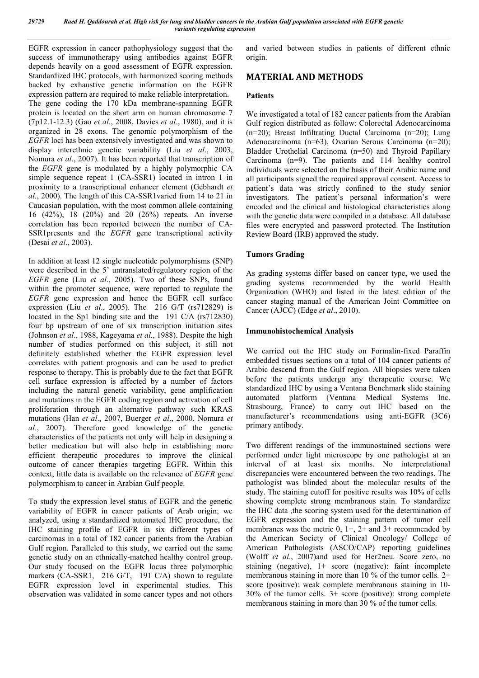*29729 Raed H. Qaddourah et al. High risk for lung and bladder cancers in the Arabian Gulf population associated with EGFR genetic variants regulating expression*

EGFR expression in cancer pathophysiology suggest that the success of immunotherapy using antibodies against EGFR depends heavily on a good assessment of EGFR expression. Standardized IHC protocols, with harmonized scoring methods backed by exhaustive genetic information on the EGFR expression pattern are required to make reliable interpretation. The gene coding the 170 kDa membrane-spanning EGFR protein is located on the short arm on human chromosome 7 (7p12.1-12.3) (Gao *et al*., 2008, Davies *et al*., 1980), and it is organized in 28 exons. The genomic polymorphism of the *EGFR* loci has been extensively investigated and was shown to display interethnic genetic variability (Liu *et al*., 2003, Nomura *et al*., 2007). It has been reported that transcription of the *EGFR* gene is modulated by a highly polymorphic CA simple sequence repeat 1 (CA-SSR1) located in intron 1 in proximity to a transcriptional enhancer element (Gebhardt *et al*., 2000). The length of this CA-SSR1varied from 14 to 21 in Caucasian population, with the most common allele containing 16 (42%), 18 (20%) and 20 (26%) repeats. An inverse correlation has been reported between the number of CA-SSR1presents and the *EGFR* gene transcriptional activity (Desai *et al*., 2003).

In addition at least 12 single nucleotide polymorphisms (SNP) were described in the 5' untranslated/regulatory region of the *EGFR* gene (Liu *et al*., 2005). Two of these SNPs, found within the promoter sequence, were reported to regulate the *EGFR* gene expression and hence the EGFR cell surface expression (Liu *et al*., 2005). The 216 G/T (rs712829) is located in the Sp1 binding site and the 191 C/A (rs712830) four bp upstream of one of six transcription initiation sites (Johnson *et al*., 1988, Kageyama *et al*., 1988). Despite the high number of studies performed on this subject, it still not definitely established whether the EGFR expression level correlates with patient prognosis and can be used to predict response to therapy. This is probably due to the fact that EGFR cell surface expression is affected by a number of factors including the natural genetic variability, gene amplification and mutations in the EGFR coding region and activation of cell proliferation through an alternative pathway such KRAS mutations (Han *et al*., 2007, Buerger *et al*., 2000, Nomura *et al*., 2007). Therefore good knowledge of the genetic characteristics of the patients not only will help in designing a better medication but will also help in establishing more efficient therapeutic procedures to improve the clinical outcome of cancer therapies targeting EGFR. Within this context, little data is available on the relevance of *EGFR* gene polymorphism to cancer in Arabian Gulf people.

To study the expression level status of EGFR and the genetic variability of EGFR in cancer patients of Arab origin; we analyzed, using a standardized automated IHC procedure, the IHC staining profile of EGFR in six different types of carcinomas in a total of 182 cancer patients from the Arabian Gulf region. Paralleled to this study, we carried out the same genetic study on an ethnically-matched healthy control group. Our study focused on the EGFR locus three polymorphic markers (CA-SSR1, 216 G/T, 191 C/A) shown to regulate EGFR expression level in experimental studies. This observation was validated in some cancer types and not others

and varied between studies in patients of different ethnic origin.

# **MATERIAL AND METHODS**

### **Patients**

We investigated a total of 182 cancer patients from the Arabian Gulf region distributed as follow: Colorectal Adenocarcinoma (n=20); Breast Infiltrating Ductal Carcinoma (n=20); Lung Adenocarcinoma (n=63), Ovarian Serous Carcinoma (n=20); Bladder Urothelial Carcinoma (n=50) and Thyroid Papillary Carcinoma (n=9). The patients and 114 healthy control individuals were selected on the basis of their Arabic name and all participants signed the required approval consent. Access to patient's data was strictly confined to the study senior investigators. The patient's personal information's were encoded and the clinical and histological characteristics along with the genetic data were compiled in a database. All database files were encrypted and password protected. The Institution Review Board (IRB) approved the study.

# **Tumors Grading**

As grading systems differ based on cancer type, we used the grading systems recommended by the world Health Organization (WHO) and listed in the latest edition of the cancer staging manual of the American Joint Committee on Cancer (AJCC) (Edge *et al*., 2010).

### **Immunohistochemical Analysis**

We carried out the IHC study on Formalin-fixed Paraffin embedded tissues sections on a total of 104 cancer patients of Arabic descend from the Gulf region. All biopsies were taken before the patients undergo any therapeutic course. We standardized IHC by using a Ventana Benchmark slide staining automated platform (Ventana Medical Systems Inc. Strasbourg, France) to carry out IHC based on the manufacturer's recommendations using anti-EGFR (3C6) primary antibody.

Two different readings of the immunostained sections were performed under light microscope by one pathologist at an interval of at least six months. No interpretational discrepancies were encountered between the two readings. The pathologist was blinded about the molecular results of the study. The staining cutoff for positive results was 10% of cells showing complete strong membranous stain. To standardize the IHC data ,the scoring system used for the determination of EGFR expression and the staining pattern of tumor cell membranes was the metric  $0$ ,  $1+$ ,  $2+$  and  $3+$  recommended by the American Society of Clinical Oncology/ College of American Pathologists (ASCO/CAP) reporting guidelines (Wolff *et al*., 2007)and used for Her2neu. Score zero, no staining (negative), 1+ score (negative): faint incomplete membranous staining in more than 10 % of the tumor cells. 2+ score (positive): weak complete membranous staining in 10- 30% of the tumor cells. 3+ score (positive): strong complete membranous staining in more than 30 % of the tumor cells.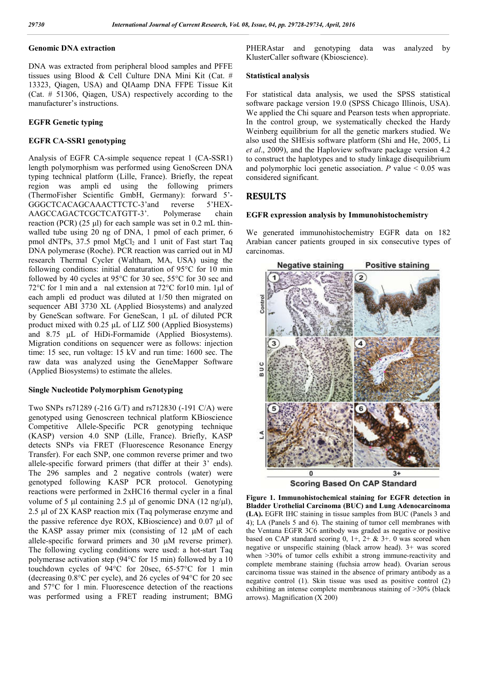# **Genomic DNA extraction**

DNA was extracted from peripheral blood samples and PFFE tissues using Blood & Cell Culture DNA Mini Kit (Cat. # 13323, Qiagen, USA) and QIAamp DNA FFPE Tissue Kit (Cat. # 51306, Qiagen, USA) respectively according to the manufacturer's instructions.

### **EGFR Genetic typing**

### **EGFR CA-SSR1 genotyping**

Analysis of EGFR CA-simple sequence repeat 1 (CA-SSR1) length polymorphism was performed using GenoScreen DNA typing technical platform (Lille, France). Briefly, the repeat region was ampli ed using the following primers (ThermoFisher Scientific GmbH, Germany): forward 5'- GGGCTCACAGCAAACTTCTC-3'and reverse 5'HEX-AAGCCAGACTCGCTCATGTT-3'. Polymerase chain reaction (PCR)  $(25 \mu l)$  for each sample was set in 0.2 mL thinwalled tube using 20 ng of DNA, 1 pmol of each primer, 6 pmol dNTPs, 37.5 pmol MgCl<sub>2</sub> and 1 unit of Fast start Taq DNA polymerase (Roche). PCR reaction was carried out in MJ research Thermal Cycler (Waltham, MA, USA) using the following conditions: initial denaturation of 95°C for 10 min followed by 40 cycles at 95°C for 30 sec, 55°C for 30 sec and 72°C for 1 min and a nal extension at 72°C for10 min. 1μl of each ampli ed product was diluted at 1/50 then migrated on sequencer ABI 3730 XL (Applied Biosystems) and analyzed by GeneScan software. For GeneScan, 1 μL of diluted PCR product mixed with 0.25 μL of LIZ 500 (Applied Biosystems) and 8.75 μL of HiDi-Formamide (Applied Biosystems). Migration conditions on sequencer were as follows: injection time: 15 sec, run voltage: 15 kV and run time: 1600 sec. The raw data was analyzed using the GeneMapper Software (Applied Biosystems) to estimate the alleles.

#### **Single Nucleotide Polymorphism Genotyping**

Two SNPs rs71289 (-216 G/T) and rs712830 (-191 C/A) were genotyped using Genoscreen technical platform KBioscience Competitive Allele-Specific PCR genotyping technique (KASP) version 4.0 SNP (Lille, France). Briefly, KASP detects SNPs via FRET (Fluorescence Resonance Energy Transfer). For each SNP, one common reverse primer and two allele-specific forward primers (that differ at their 3' ends). The 296 samples and 2 negative controls (water) were genotyped following KASP PCR protocol. Genotyping reactions were performed in 2xHC16 thermal cycler in a final volume of 5  $\mu$ l containing 2.5  $\mu$ l of genomic DNA (12 ng/ $\mu$ l), 2.5  $\mu$ l of 2X KASP reaction mix (Taq polymerase enzyme and the passive reference dye ROX, KBioscience) and  $0.07 \mu l$  of the KASP assay primer mix (consisting of  $12 \mu M$  of each allele-specific forward primers and 30  $\mu$ M reverse primer). The following cycling conditions were used: a hot-start Taq polymerase activation step (94°C for 15 min) followed by a 10 touchdown cycles of 94°C for 20sec, 65-57°C for 1 min (decreasing 0.8°C per cycle), and 26 cycles of 94°C for 20 sec and 57°C for 1 min. Fluorescence detection of the reactions was performed using a FRET reading instrument; BMG

PHERAstar and genotyping data was analyzed by KlusterCaller software (Kbioscience).

#### **Statistical analysis**

For statistical data analysis, we used the SPSS statistical software package version 19.0 (SPSS Chicago Illinois, USA). We applied the Chi square and Pearson tests when appropriate. In the control group, we systematically checked the Hardy Weinberg equilibrium for all the genetic markers studied. We also used the SHEsis software platform (Shi and He, 2005, Li *et al*., 2009), and the Haploview software package version 4.2 to construct the haplotypes and to study linkage disequilibrium and polymorphic loci genetic association.  $P$  value  $\leq 0.05$  was considered significant.

# **RESULTS**

#### **EGFR expression analysis by Immunohistochemistry**

We generated immunohistochemistry EGFR data on 182 Arabian cancer patients grouped in six consecutive types of carcinomas.



**Scoring Based On CAP Standard** 

**Figure 1. Immunohistochemical staining for EGFR detection in Bladder Urothelial Carcinoma (BUC) and Lung Adenocarcinoma (LA).** EGFR IHC staining in tissue samples from BUC (Panels 3 and 4); LA (Panels 5 and 6). The staining of tumor cell membranes with the Ventana EGFR 3C6 antibody was graded as negative or positive based on CAP standard scoring  $0$ ,  $1+$ ,  $2+$  &  $3+$ . 0 was scored when negative or unspecific staining (black arrow head). 3+ was scored when  $>30\%$  of tumor cells exhibit a strong immune-reactivity and complete membrane staining (fuchsia arrow head). Ovarian serous carcinoma tissue was stained in the absence of primary antibody as a negative control (1). Skin tissue was used as positive control (2) exhibiting an intense complete membranous staining of >30% (black arrows). Magnification (X 200)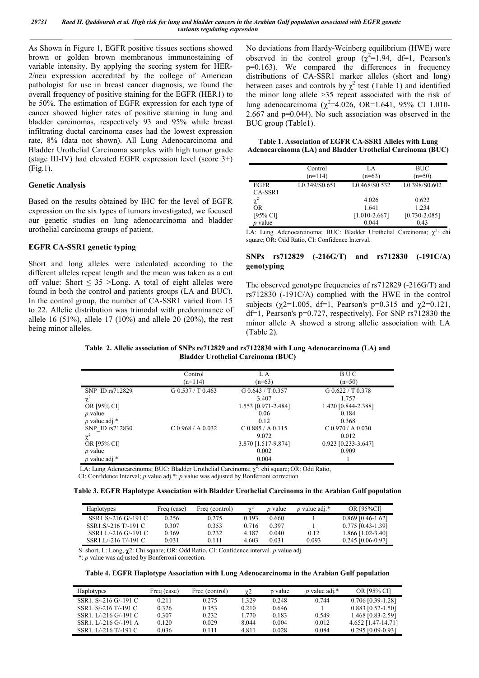*29731 Raed H. Qaddourah et al. High risk for lung and bladder cancers in the Arabian Gulf population associated with EGFR genetic variants regulating expression*

As Shown in Figure 1, EGFR positive tissues sections showed brown or golden brown membranous immunostaining of variable intensity. By applying the scoring system for HER-2/neu expression accredited by the college of American pathologist for use in breast cancer diagnosis, we found the overall frequency of positive staining for the EGFR (HER1) to be 50%. The estimation of EGFR expression for each type of cancer showed higher rates of positive staining in lung and bladder carcinomas, respectively 93 and 95% while breast infiltrating ductal carcinoma cases had the lowest expression rate, 8% (data not shown). All Lung Adenocarcinoma and Bladder Urothelial Carcinoma samples with high tumor grade (stage III-IV) had elevated EGFR expression level (score 3+) (Fig.1).

### **Genetic Analysis**

Based on the results obtained by IHC for the level of EGFR expression on the six types of tumors investigated, we focused our genetic studies on lung adenocarcinoma and bladder urothelial carcinoma groups of patient.

### **EGFR CA-SSR1 genetic typing**

Short and long alleles were calculated according to the different alleles repeat length and the mean was taken as a cut off value: Short  $\leq$  35 >Long. A total of eight alleles were found in both the control and patients groups (LA and BUC). In the control group, the number of CA-SSR1 varied from 15 to 22. Allelic distribution was trimodal with predominance of allele 16 (51%), allele 17 (10%) and allele 20 (20%), the rest being minor alleles.

No deviations from Hardy-Weinberg equilibrium (HWE) were observed in the control group  $(\chi^2=1.94, df=1, Pearson's$ p=0.163). We compared the differences in frequency distributions of CA-SSR1 marker alleles (short and long) between cases and controls by  $\chi^2$  test (Table 1) and identified the minor long allele >35 repeat associated with the risk of lung adenocarcinoma ( $\chi^2$ =4.026, OR=1.641, 95% CI 1.010-2.667 and p=0.044). No such association was observed in the BUC group (Table1).

**Table 1. Association of EGFR CA-SSR1 Alleles with Lung Adenocarcinoma (LA) and Bladder Urothelial Carcinoma (BUC)**

|                | Control       | LA                | BUC               |
|----------------|---------------|-------------------|-------------------|
|                | $(n=114)$     | $(n=63)$          | $(n=50)$          |
| <b>EGFR</b>    | L0.349/S0.651 | L0.468/S0.532     | L0.398/S0.602     |
| CA-SSR1        |               |                   |                   |
| $\chi^2$       |               | 4.026             | 0.622             |
| OR             |               | 1.641             | 1.234             |
| [95% CI]       |               | $[1.010 - 2.667]$ | $[0.730 - 2.085]$ |
| <i>p</i> value |               | 0.044             | 0.43              |

LA: Lung Adenocarcinoma; BUC: Bladder Urothelial Carcinoma;  $\chi^2$ : chi square; OR: Odd Ratio, CI: Confidence Interval.

### **SNPs rs712829 (-216G/T) and rs712830 (-191C/A) genotyping**

The observed genotype frequencies of rs712829 (-216G/T) and rs712830 (-191C/A) complied with the HWE in the control subjects ( $\chi$ 2=1.005, df=1, Pearson's p=0.315 and  $\chi$ 2=0.121, df=1, Pearson's p=0.727, respectively). For SNP rs712830 the minor allele A showed a strong allelic association with LA (Table 2).

**Table 2. Allelic association of SNPs re712829 and rs7122830 with Lung Adenocarcinoma (LA) and Bladder Urothelial Carcinoma (BUC)**

|                  | Control             | L A                 | <b>BUC</b>          |  |
|------------------|---------------------|---------------------|---------------------|--|
|                  | $(n=114)$           | $(n=63)$            | $(n=50)$            |  |
| SNP ID rs712829  | $G$ 0.537 / T 0.463 | G 0.643 / T 0.357   | G 0.622 / T 0.378   |  |
| $\chi^2$         |                     | 3.407               | 1.757               |  |
| OR [95% CI]      |                     | 1.553 [0.971-2.484] | 1.420 [0.844-2.388] |  |
| $p$ value        |                     | 0.06                | 0.184               |  |
| p value adj. $*$ |                     | 0.12                | 0.368               |  |
| SNP ID rs712830  | $C$ 0.968 / A 0.032 | $C$ 0.885 / A 0.115 | $C$ 0.970 / A 0.030 |  |
| $\chi^2$         |                     | 9.072               | 0.012               |  |
| OR [95% CI]      |                     | 3.870 [1.517-9.874] | 0.923 [0.233-3.647] |  |
| $p$ value        |                     | 0.002               | 0.909               |  |
| p value adj. $*$ |                     | 0.004               |                     |  |
|                  |                     |                     |                     |  |

LA: Lung Adenocarcinoma; BUC: Bladder Urothelial Carcinoma;  $\chi^2$ : chi square; OR: Odd Ratio,

CI: Confidence Interval; *p* value adj.\*: *p* value was adjusted by Bonferroni correction.

**Table 3. EGFR Haplotype Association with Bladder Urothelial Carcinoma in the Arabian Gulf population**

| <b>Haplotypes</b>    | Freq (case) | Freq (control) | $\gamma^2$ | <i>p</i> value | <i>p</i> value adj.* | OR [95%CI]          |
|----------------------|-------------|----------------|------------|----------------|----------------------|---------------------|
| SSR1.S/-216 G/-191 C | 0.256       | 0.275          | 0.193      | 0.660          |                      | $0.869$ [0.46-1.62] |
| SSR1.S/-216 T/-191 C | 0.307       | 0.353          | 0.716      | 0.397          |                      | $0.775$ [0.43-1.39] |
| SSR1.L/-216 G/-191 C | 0.369       | 0.232          | 4.187      | 0.040          | 0.12                 | $1.866$ [1.02-3.40] |
| SSR1.I/-216 T/-191 C | 0.031       | 0 1 1 1        | 4.603      | 0.031          | 0.093                | $0.245$ [0.06-0.97] |

S: short, L: Long, 2: Chi square; OR: Odd Ratio, CI: Confidence interval. *p* value adj.

\*: *p* value was adjusted by Bonferroni correction.

**Table 4. EGFR Haplotype Association with Lung Adenocarcinoma in the Arabian Gulf population**

| Haplotypes            | Freq (case) | Freq (control) | $\chi$ 2 | p value | p value adj. $*$ | OR 195% CII         |
|-----------------------|-------------|----------------|----------|---------|------------------|---------------------|
| SSR1. S/-216 G/-191 C | 0.211       | 0.275          | 329      | 0.248   | 0.744            | $0.706$ [0.39-1.28] |
| SSR1. S/-216 T/-191 C | 0.326       | 0.353          | 0.210    | 0.646   |                  | $0.883$ [0.52-1.50] |
| SSR1. L/-216 G/-191 C | 0.307       | 0.232          | 1.770    | 0.183   | 0.549            | 1.468 [0.83-2.59]   |
| SSR1. L/-216 G/-191 A | 0120        | 0.029          | 8.044    | 0.004   | 0.012            | 4.652 [1.47-14.71]  |
| SSR1. L/-216 T/-191 C | 0.036       | 0.111          | 4.811    | 0.028   | 0.084            | $0.295$ [0.09-0.93] |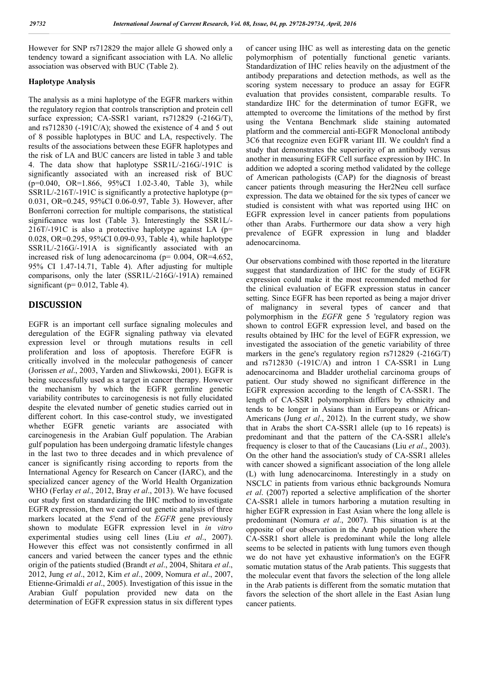However for SNP rs712829 the major allele G showed only a tendency toward a significant association with LA. No allelic association was observed with BUC (Table 2).

# **Haplotype Analysis**

The analysis as a mini haplotype of the EGFR markers within the regulatory region that controls transcription and protein cell surface expression; CA-SSR1 variant, rs712829 (-216G/T), and rs712830 (-191C/A); showed the existence of 4 and 5 out of 8 possible haplotypes in BUC and LA, respectively. The results of the associations between these EGFR haplotypes and the risk of LA and BUC cancers are listed in table 3 and table 4. The data show that haplotype SSR1L/-216G/-191C is significantly associated with an increased risk of BUC (p=0.040, OR=1.866, 95%CI 1.02-3.40, Table 3), while SSR1L/-216T/-191C is significantly a protective haplotype (p= 0.031, OR=0.245, 95%CI 0.06-0.97, Table 3). However, after Bonferroni correction for multiple comparisons, the statistical significance was lost (Table 3). Interestingly the SSR1L/- 216T/-191C is also a protective haplotype against LA (p= 0.028, OR=0.295, 95%CI 0.09-0.93, Table 4), while haplotype SSR1L/-216G/-191A is significantly associated with an increased risk of lung adenocarcinoma ( $p= 0.004$ , OR=4.652, 95% CI 1.47-14.71, Table 4). After adjusting for multiple comparisons, only the later (SSR1L/-216G/-191A) remained significant ( $p= 0.012$ , Table 4).

# **DISCUSSION**

EGFR is an important cell surface signaling molecules and deregulation of the EGFR signaling pathway via elevated expression level or through mutations results in cell proliferation and loss of apoptosis. Therefore EGFR is critically involved in the molecular pathogenesis of cancer (Jorissen *et al*., 2003, Yarden and Sliwkowski, 2001). EGFR is being successfully used as a target in cancer therapy. However the mechanism by which the EGFR germline genetic variability contributes to carcinogenesis is not fully elucidated despite the elevated number of genetic studies carried out in different cohort. In this case-control study, we investigated whether EGFR genetic variants are associated with carcinogenesis in the Arabian Gulf population. The Arabian gulf population has been undergoing dramatic lifestyle changes in the last two to three decades and in which prevalence of cancer is significantly rising according to reports from the International Agency for Research on Cancer (IARC), and the specialized cancer agency of the World Health Organization WHO (Ferlay *et al*., 2012, Bray *et al*., 2013). We have focused our study first on standardizing the IHC method to investigate EGFR expression, then we carried out genetic analysis of three markers located at the 5'end of the *EGFR* gene previously shown to modulate EGFR expression level in *in vitro*  experimental studies using cell lines (Liu *et al*., 2007). However this effect was not consistently confirmed in all cancers and varied between the cancer types and the ethnic origin of the patients studied (Brandt *et al*., 2004, Shitara *et al*., 2012, Jung *et al*., 2012, Kim *et al*., 2009, Nomura *et al*., 2007, Etienne-Grimaldi *et al*., 2005). Investigation of this issue in the Arabian Gulf population provided new data on the determination of EGFR expression status in six different types

of cancer using IHC as well as interesting data on the genetic polymorphism of potentially functional genetic variants. Standardization of IHC relies heavily on the adjustment of the antibody preparations and detection methods, as well as the scoring system necessary to produce an assay for EGFR evaluation that provides consistent, comparable results. To standardize IHC for the determination of tumor EGFR, we attempted to overcome the limitations of the method by first using the Ventana Benchmark slide staining automated platform and the commercial anti-EGFR Monoclonal antibody 3C6 that recognize even EGFR variant III. We couldn't find a study that demonstrates the superiority of an antibody versus another in measuring EGFR Cell surface expression by IHC. In addition we adopted a scoring method validated by the college of American pathologists (CAP) for the diagnosis of breast cancer patients through measuring the Her2Neu cell surface expression. The data we obtained for the six types of cancer we studied is consistent with what was reported using IHC on EGFR expression level in cancer patients from populations other than Arabs. Furthermore our data show a very high prevalence of EGFR expression in lung and bladder adenocarcinoma.

Our observations combined with those reported in the literature suggest that standardization of IHC for the study of EGFR expression could make it the most recommended method for the clinical evaluation of EGFR expression status in cancer setting. Since EGFR has been reported as being a major driver of malignancy in several types of cancer and that polymorphism in the *EGFR* gene 5 'regulatory region was shown to control EGFR expression level, and based on the results obtained by IHC for the level of EGFR expression, we investigated the association of the genetic variability of three markers in the gene's regulatory region rs712829 (-216G/T) and rs712830 (-191C/A) and intron 1 CA-SSR1 in Lung adenocarcinoma and Bladder urothelial carcinoma groups of patient. Our study showed no significant difference in the EGFR expression according to the length of CA-SSR1. The length of CA-SSR1 polymorphism differs by ethnicity and tends to be longer in Asians than in Europeans or African-Americans (Jung *et al*., 2012). In the current study, we show that in Arabs the short CA-SSR1 allele (up to 16 repeats) is predominant and that the pattern of the CA-SSR1 allele's frequency is closer to that of the Caucasians (Liu *et al*., 2003). On the other hand the association's study of CA-SSR1 alleles with cancer showed a significant association of the long allele (L) with lung adenocarcinoma. Interestingly in a study on NSCLC in patients from various ethnic backgrounds Nomura *et al*. (2007) reported a selective amplification of the shorter CA-SSR1 allele in tumors harboring a mutation resulting in higher EGFR expression in East Asian where the long allele is predominant (Nomura *et al*., 2007). This situation is at the opposite of our observation in the Arab population where the CA-SSR1 short allele is predominant while the long allele seems to be selected in patients with lung tumors even though we do not have yet exhaustive information's on the EGFR somatic mutation status of the Arab patients. This suggests that the molecular event that favors the selection of the long allele in the Arab patients is different from the somatic mutation that favors the selection of the short allele in the East Asian lung cancer patients.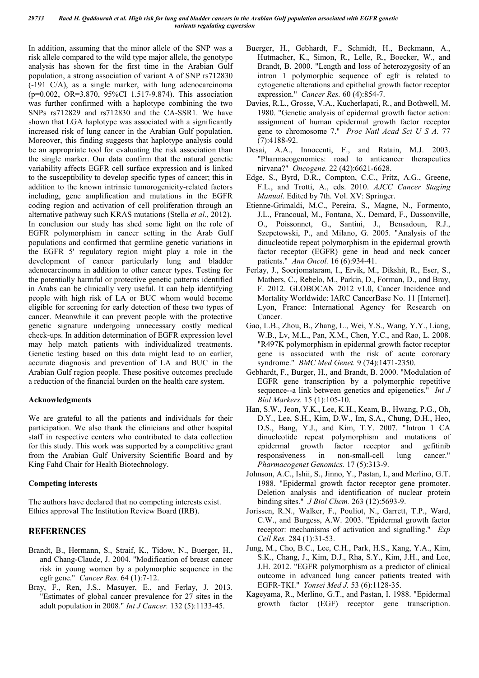In addition, assuming that the minor allele of the SNP was a risk allele compared to the wild type major allele, the genotype analysis has shown for the first time in the Arabian Gulf population, a strong association of variant A of SNP rs712830 (-191 C/A), as a single marker, with lung adenocarcinoma (p=0.002, OR=3.870, 95%CI 1.517-9.874). This association was further confirmed with a haplotype combining the two SNPs rs712829 and rs712830 and the CA-SSR1. We have shown that LGA haplotype was associated with a significantly increased risk of lung cancer in the Arabian Gulf population. Moreover, this finding suggests that haplotype analysis could be an appropriate tool for evaluating the risk association than the single marker. Our data confirm that the natural genetic variability affects EGFR cell surface expression and is linked to the susceptibility to develop specific types of cancer; this in addition to the known intrinsic tumorogenicity-related factors including, gene amplification and mutations in the EGFR coding region and activation of cell proliferation through an alternative pathway such KRAS mutations (Stella *et al*., 2012). In conclusion our study has shed some light on the role of EGFR polymorphism in cancer setting in the Arab Gulf populations and confirmed that germline genetic variations in the EGFR 5' regulatory region might play a role in the development of cancer particularly lung and bladder adenocarcinoma in addition to other cancer types. Testing for the potentially harmful or protective genetic patterns identified in Arabs can be clinically very useful. It can help identifying people with high risk of LA or BUC whom would become eligible for screening for early detection of these two types of cancer. Meanwhile it can prevent people with the protective genetic signature undergoing unnecessary costly medical check-ups. In addition determination of EGFR expression level may help match patients with individualized treatments. Genetic testing based on this data might lead to an earlier, accurate diagnosis and prevention of LA and BUC in the Arabian Gulf region people. These positive outcomes preclude a reduction of the financial burden on the health care system.

# **Acknowledgments**

We are grateful to all the patients and individuals for their participation. We also thank the clinicians and other hospital staff in respective centers who contributed to data collection for this study. This work was supported by a competitive grant from the Arabian Gulf University Scientific Board and by King Fahd Chair for Health Biotechnology.

# **Competing interests**

The authors have declared that no competing interests exist. Ethics approval The Institution Review Board (IRB).

# **REFERENCES**

- Brandt, B., Hermann, S., Straif, K., Tidow, N., Buerger, H., and Chang-Claude, J. 2004. "Modification of breast cancer risk in young women by a polymorphic sequence in the egfr gene." *Cancer Res.* 64 (1):7-12.
- Bray, F., Ren, J.S., Masuyer, E., and Ferlay, J. 2013. "Estimates of global cancer prevalence for 27 sites in the adult population in 2008." *Int J Cancer.* 132 (5):1133-45.
- Buerger, H., Gebhardt, F., Schmidt, H., Beckmann, A., Hutmacher, K., Simon, R., Lelle, R., Boecker, W., and Brandt, B. 2000. "Length and loss of heterozygosity of an intron 1 polymorphic sequence of egfr is related to cytogenetic alterations and epithelial growth factor receptor expression." *Cancer Res.* 60 (4):854-7.
- Davies, R.L., Grosse, V.A., Kucherlapati, R., and Bothwell, M. 1980. "Genetic analysis of epidermal growth factor action: assignment of human epidermal growth factor receptor gene to chromosome 7." *Proc Natl Acad Sci U S A.* 77 (7):4188-92.
- Desai, A.A., Innocenti, F., and Ratain, M.J. 2003. "Pharmacogenomics: road to anticancer therapeutics nirvana?" *Oncogene.* 22 (42):6621-6628.
- Edge, S., Byrd, D.R., Compton, C.C., Fritz, A.G., Greene, F.L., and Trotti, A., eds. 2010. *AJCC Cancer Staging Manual*. Edited by 7th. Vol. XV: Springer.
- Etienne-Grimaldi, M.C., Pereira, S., Magne, N., Formento, J.L., Francoual, M., Fontana, X., Demard, F., Dassonville, O., Poissonnet, G., Santini, J., Bensadoun, R.J., Szepetowski, P., and Milano, G. 2005. "Analysis of the dinucleotide repeat polymorphism in the epidermal growth factor receptor (EGFR) gene in head and neck cancer patients." *Ann Oncol.* 16 (6):934-41.
- Ferlay, J., Soerjomataram, I., Ervik, M., Dikshit, R., Eser, S., Mathers, C., Rebelo, M., Parkin, D., Forman, D., and Bray, F. 2012. GLOBOCAN 2012 v1.0, Cancer Incidence and Mortality Worldwide: IARC CancerBase No. 11 [Internet]. Lyon, France: International Agency for Research on Cancer.
- Gao, L.B., Zhou, B., Zhang, L., Wei, Y.S., Wang, Y.Y., Liang, W.B., Lv, M.L., Pan, X.M., Chen, Y.C., and Rao, L. 2008. "R497K polymorphism in epidermal growth factor receptor gene is associated with the risk of acute coronary syndrome." *BMC Med Genet.* 9 (74):1471-2350.
- Gebhardt, F., Burger, H., and Brandt, B. 2000. "Modulation of EGFR gene transcription by a polymorphic repetitive sequence--a link between genetics and epigenetics." *Int J Biol Markers.* 15 (1):105-10.
- Han, S.W., Jeon, Y.K., Lee, K.H., Keam, B., Hwang, P.G., Oh, D.Y., Lee, S.H., Kim, D.W., Im, S.A., Chung, D.H., Heo, D.S., Bang, Y.J., and Kim, T.Y. 2007. "Intron 1 CA dinucleotide repeat polymorphism and mutations of epidermal growth factor receptor and gefitinib responsiveness in non-small-cell lung cancer." *Pharmacogenet Genomics.* 17 (5):313-9.
- Johnson, A.C., Ishii, S., Jinno, Y., Pastan, I., and Merlino, G.T. 1988. "Epidermal growth factor receptor gene promoter. Deletion analysis and identification of nuclear protein binding sites." *J Biol Chem.* 263 (12):5693-9.
- Jorissen, R.N., Walker, F., Pouliot, N., Garrett, T.P., Ward, C.W., and Burgess, A.W. 2003. "Epidermal growth factor receptor: mechanisms of activation and signalling." *Exp Cell Res.* 284 (1):31-53.
- Jung, M., Cho, B.C., Lee, C.H., Park, H.S., Kang, Y.A., Kim, S.K., Chang, J., Kim, D.J., Rha, S.Y., Kim, J.H., and Lee, J.H. 2012. "EGFR polymorphism as a predictor of clinical outcome in advanced lung cancer patients treated with EGFR-TKI." *Yonsei Med J.* 53 (6):1128-35.
- Kageyama, R., Merlino, G.T., and Pastan, I. 1988. "Epidermal growth factor (EGF) receptor gene transcription.